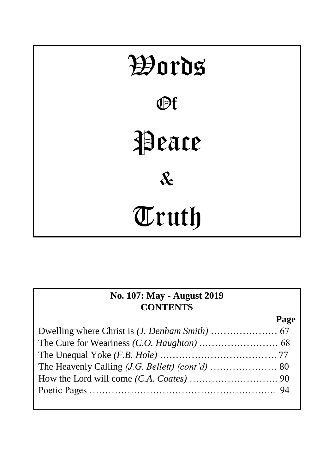

| No. 107: May - August 2019 |      |
|----------------------------|------|
| <b>CONTENTS</b>            |      |
|                            | Page |
|                            |      |
|                            |      |
|                            |      |
|                            |      |
|                            |      |
|                            |      |
|                            |      |

ī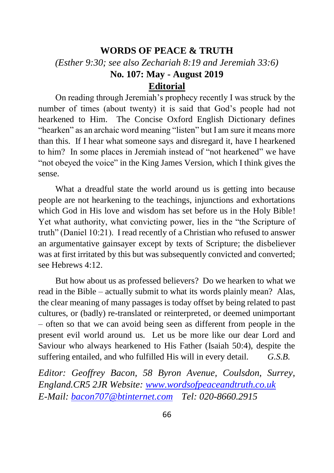# **WORDS OF PEACE & TRUTH** *(Esther 9:30; see also Zechariah 8:19 and Jeremiah 33:6)* **No. 107: May - August 2019 Editorial**

On reading through Jeremiah's prophecy recently I was struck by the number of times (about twenty) it is said that God's people had not hearkened to Him. The Concise Oxford English Dictionary defines "hearken" as an archaic word meaning "listen" but I am sure it means more than this. If I hear what someone says and disregard it, have I hearkened to him? In some places in Jeremiah instead of "not hearkened" we have "not obeyed the voice" in the King James Version, which I think gives the sense.

What a dreadful state the world around us is getting into because people are not hearkening to the teachings, injunctions and exhortations which God in His love and wisdom has set before us in the Holy Bible! Yet what authority, what convicting power, lies in the "the Scripture of truth" (Daniel 10:21). I read recently of a Christian who refused to answer an argumentative gainsayer except by texts of Scripture; the disbeliever was at first irritated by this but was subsequently convicted and converted; see Hebrews 4:12.

But how about us as professed believers? Do we hearken to what we read in the Bible – actually submit to what its words plainly mean? Alas, the clear meaning of many passages is today offset by being related to past cultures, or (badly) re-translated or reinterpreted, or deemed unimportant – often so that we can avoid being seen as different from people in the present evil world around us. Let us be more like our dear Lord and Saviour who always hearkened to His Father (Isaiah 50:4), despite the suffering entailed, and who fulfilled His will in every detail. *G.S.B.*

*Editor: Geoffrey Bacon, 58 Byron Avenue, Coulsdon, Surrey, England.CR5 2JR Website: [www.wordsofpeaceandtruth.co.uk](http://www.wordsofpeaceandtruth.co.uk/) E-Mail: [bacon707@btinternet.com](mailto:bacon707@btinternet.com) Tel: 020-8660.2915*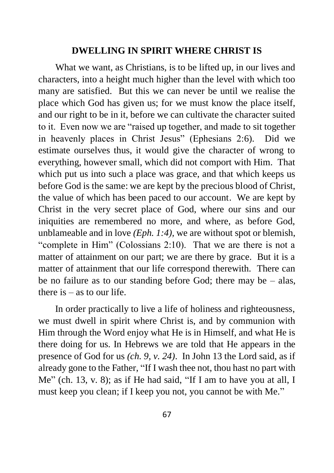### **DWELLING IN SPIRIT WHERE CHRIST IS**

What we want, as Christians, is to be lifted up, in our lives and characters, into a height much higher than the level with which too many are satisfied. But this we can never be until we realise the place which God has given us; for we must know the place itself, and our right to be in it, before we can cultivate the character suited to it. Even now we are "raised up together, and made to sit together in heavenly places in Christ Jesus" (Ephesians 2:6). Did we estimate ourselves thus, it would give the character of wrong to everything, however small, which did not comport with Him. That which put us into such a place was grace, and that which keeps us before God is the same: we are kept by the precious blood of Christ, the value of which has been paced to our account. We are kept by Christ in the very secret place of God, where our sins and our iniquities are remembered no more, and where, as before God, unblameable and in love *(Eph. 1:4),* we are without spot or blemish, "complete in Him" (Colossians 2:10). That we are there is not a matter of attainment on our part; we are there by grace. But it is a matter of attainment that our life correspond therewith. There can be no failure as to our standing before God; there may be – alas, there is – as to our life.

In order practically to live a life of holiness and righteousness, we must dwell in spirit where Christ is, and by communion with Him through the Word enjoy what He is in Himself, and what He is there doing for us. In Hebrews we are told that He appears in the presence of God for us *(ch. 9, v. 24)*. In John 13 the Lord said, as if already gone to the Father, "If I wash thee not, thou hast no part with Me" (ch. 13, v. 8); as if He had said, "If I am to have you at all, I must keep you clean; if I keep you not, you cannot be with Me."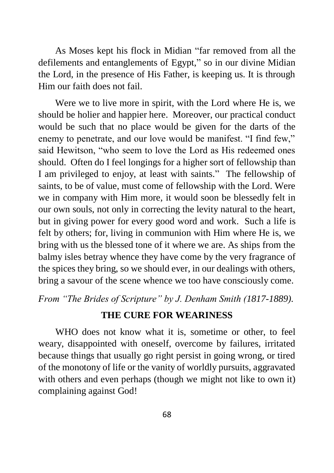As Moses kept his flock in Midian "far removed from all the defilements and entanglements of Egypt," so in our divine Midian the Lord, in the presence of His Father, is keeping us. It is through Him our faith does not fail.

Were we to live more in spirit, with the Lord where He is, we should be holier and happier here. Moreover, our practical conduct would be such that no place would be given for the darts of the enemy to penetrate, and our love would be manifest. "I find few," said Hewitson, "who seem to love the Lord as His redeemed ones should. Often do I feel longings for a higher sort of fellowship than I am privileged to enjoy, at least with saints." The fellowship of saints, to be of value, must come of fellowship with the Lord. Were we in company with Him more, it would soon be blessedly felt in our own souls, not only in correcting the levity natural to the heart, but in giving power for every good word and work. Such a life is felt by others; for, living in communion with Him where He is, we bring with us the blessed tone of it where we are. As ships from the balmy isles betray whence they have come by the very fragrance of the spices they bring, so we should ever, in our dealings with others, bring a savour of the scene whence we too have consciously come.

*From "The Brides of Scripture" by J. Denham Smith (1817-1889).*

# **THE CURE FOR WEARINESS**

WHO does not know what it is, sometime or other, to feel weary, disappointed with oneself, overcome by failures, irritated because things that usually go right persist in going wrong, or tired of the monotony of life or the vanity of worldly pursuits, aggravated with others and even perhaps (though we might not like to own it) complaining against God!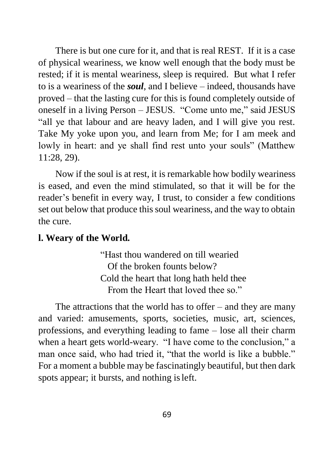There is but one cure for it, and that is real REST. If it is a case of physical weariness, we know well enough that the body must be rested; if it is mental weariness, sleep is required. But what I refer to is a weariness of the *soul*, and I believe – indeed, thousands have proved – that the lasting cure for this is found completely outside of oneself in a living Person – JESUS. "Come unto me," said JESUS "all ye that labour and are heavy laden, and I will give you rest. Take My yoke upon you, and learn from Me; for I am meek and lowly in heart: and ye shall find rest unto your souls" (Matthew 11:28, 29).

Now if the soul is at rest, it is remarkable how bodily weariness is eased, and even the mind stimulated, so that it will be for the reader's benefit in every way, I trust, to consider a few conditions set out below that produce this soul weariness, and the way to obtain the cure.

## **l. Weary of the World.**

"Hast thou wandered on till wearied Of the broken founts below? Cold the heart that long hath held thee From the Heart that loved thee so."

The attractions that the world has to offer  $-$  and they are many and varied: amusements, sports, societies, music, art, sciences, professions, and everything leading to fame – lose all their charm when a heart gets world-weary. "I have come to the conclusion," a man once said, who had tried it, "that the world is like a bubble." For a moment a bubble may be fascinatingly beautiful, but then dark spots appear; it bursts, and nothing isleft.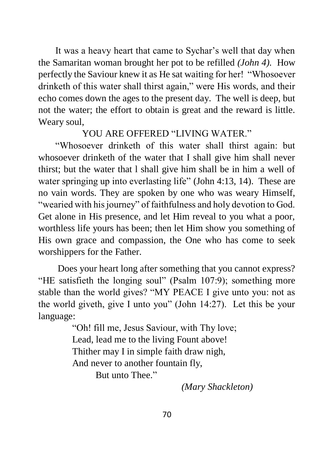It was a heavy heart that came to Sychar's well that day when the Samaritan woman brought her pot to be refilled *(John 4).* How perfectly the Saviour knew it as He sat waiting for her! "Whosoever drinketh of this water shall thirst again," were His words, and their echo comes down the ages to the present day. The well is deep, but not the water; the effort to obtain is great and the reward is little. Weary soul,

YOU ARE OFFERED "LIVING WATER."

"Whosoever drinketh of this water shall thirst again: but whosoever drinketh of the water that I shall give him shall never thirst; but the water that l shall give him shall be in him a well of water springing up into everlasting life" (John 4:13, 14). These are no vain words. They are spoken by one who was weary Himself, "wearied with his journey" of faithfulness and holy devotion to God. Get alone in His presence, and let Him reveal to you what a poor, worthless life yours has been; then let Him show you something of His own grace and compassion, the One who has come to seek worshippers for the Father.

Does your heart long after something that you cannot express? "HE satisfieth the longing soul" (Psalm 107:9); something more stable than the world gives? "MY PEACE I give unto you: not as the world giveth, give I unto you" (John 14:27). Let this be your language:

> "Oh! fill me, Jesus Saviour, with Thy love; Lead, lead me to the living Fount above! Thither may I in simple faith draw nigh, And never to another fountain fly,

But unto Thee."

*(Mary Shackleton)*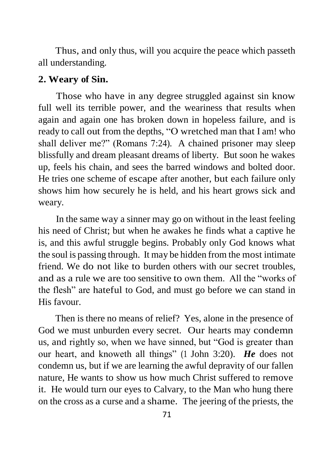Thus, and only thus, will you acquire the peace which passeth all understanding.

#### **2. Weary of Sin.**

Those who have in any degree struggled against sin know full well its terrible power, and the weariness that results when again and again one has broken down in hopeless failure, and is ready to call out from the depths, "O wretched man that I am! who shall deliver me?" (Romans 7:24). A chained prisoner may sleep blissfully and dream pleasant dreams of liberty. But soon he wakes up, feels his chain, and sees the barred windows and bolted door. He tries one scheme of escape after another, but each failure only shows him how securely he is held, and his heart grows sick and weary.

In the same way a sinner may go on without in the least feeling his need of Christ; but when he awakes he finds what a captive he is, and this awful struggle begins. Probably only God knows what the soul is passing through. It may be hidden from the most intimate friend. We do not like to burden others with our secret troubles, and as a rule we are too sensitive to own them. All the "works of the flesh" are hateful to God, and must go before we can stand in His favour.

Then is there no means of relief? Yes, alone in the presence of God we must unburden every secret. Our hearts may condemn us, and rightly so, when we have sinned, but "God is greater than our heart, and knoweth all things" (1 John 3:20). *He* does not condemn us, but if we are learning the awful depravity of our fallen nature, He wants to show us how much Christ suffered to remove it. He would turn our eyes to Calvary, to the Man who hung there on the cross as a curse and a shame. The jeering of the priests, the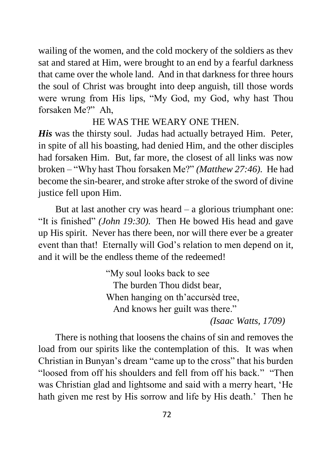wailing of the women, and the cold mockery of the soldiers as thev sat and stared at Him, were brought to an end by a fearful darkness that came over the whole land. And in that darkness for three hours the soul of Christ was brought into deep anguish, till those words were wrung from His lips, "My God, my God, why hast Thou forsaken Me?" Ah,

## HE WAS THE WEARY ONE THEN.

*His* was the thirsty soul. Judas had actually betraved Him. Peter, in spite of all his boasting, had denied Him, and the other disciples had forsaken Him. But, far more, the closest of all links was now broken – "Why hast Thou forsaken Me?" *(Matthew 27:46).* He had become the sin-bearer, and stroke after stroke of the sword of divine justice fell upon Him.

But at last another cry was heard  $-$  a glorious triumphant one: "It is finished" *(John 19:30).* Then He bowed His head and gave up His spirit. Never has there been, nor will there ever be a greater event than that! Eternally will God's relation to men depend on it, and it will be the endless theme of the redeemed!

> "My soul looks back to see The burden Thou didst bear, When hanging on th'accursèd tree, And knows her guilt was there."

*(Isaac Watts, 1709)*

There is nothing that loosens the chains of sin and removes the load from our spirits like the contemplation of this. It was when Christian in Bunyan's dream "came up to the cross" that his burden "loosed from off his shoulders and fell from off his back." "Then was Christian glad and lightsome and said with a merry heart, 'He hath given me rest by His sorrow and life by His death.' Then he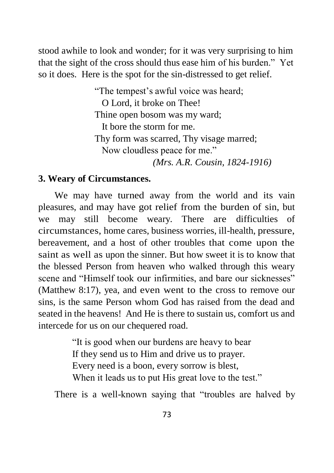stood awhile to look and wonder; for it was very surprising to him that the sight of the cross should thus ease him of his burden." Yet so it does. Here is the spot for the sin-distressed to get relief.

> "The tempest's awful voice was heard; O Lord, it broke on Thee! Thine open bosom was my ward; It bore the storm for me. Thy form was scarred, Thy visage marred; Now cloudless peace for me." *(Mrs. A.R. Cousin, 1824-1916)*

## **3. Weary of Circumstances.**

We may have turned away from the world and its vain pleasures, and may have got relief from the burden of sin, but we may still become weary. There are difficulties of circumstances, home cares, business worries, ill-health, pressure, bereavement, and a host of other troubles that come upon the saint as well as upon the sinner. But how sweet it is to know that the blessed Person from heaven who walked through this weary scene and "Himself took our infirmities, and bare our sicknesses" (Matthew 8:17), yea, and even went to the cross to remove our sins, is the same Person whom God has raised from the dead and seated in the heavens! And He is there to sustain us, comfort us and intercede for us on our chequered road.

> "It is good when our burdens are heavy to bear If they send us to Him and drive us to prayer. Every need is a boon, every sorrow is blest, When it leads us to put His great love to the test."

There is a well-known saying that "troubles are halved by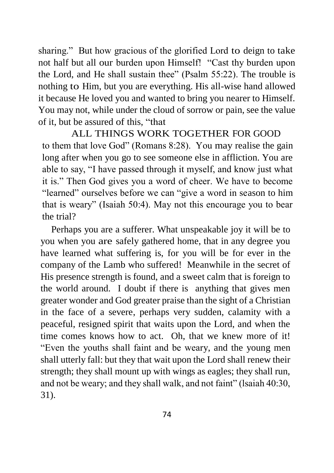sharing." But how gracious of the glorified Lord to deign to take not half but all our burden upon Himself! "Cast thy burden upon the Lord, and He shall sustain thee" (Psalm 55:22). The trouble is nothing to Him, but you are everything. His all-wise hand allowed it because He loved you and wanted to bring you nearer to Himself. You may not, while under the cloud of sorrow or pain, see the value of it, but be assured of this, "that

ALL THINGS WORK TOGETHER FOR GOOD to them that love God" (Romans 8:28). You may realise the gain long after when you go to see someone else in affliction. You are able to say, "I have passed through it myself, and know just what it is." Then God gives you a word of cheer. We have to become "learned" ourselves before we can "give a word in season to him that is weary" (Isaiah 50:4). May not this encourage you to bear the trial?

Perhaps you are a sufferer. What unspeakable joy it will be to you when you are safely gathered home, that in any degree you have learned what suffering is, for you will be for ever in the company of the Lamb who suffered! Meanwhile in the secret of His presence strength is found, and a sweet calm that is foreign to the world around. I doubt if there is anything that gives men greater wonder and God greater praise than the sight of a Christian in the face of a severe, perhaps very sudden, calamity with a peaceful, resigned spirit that waits upon the Lord, and when the time comes knows how to act. Oh, that we knew more of it! "Even the youths shall faint and be weary, and the young men shall utterly fall: but they that wait upon the Lord shall renew their strength; they shall mount up with wings as eagles; they shall run, and not be weary; and they shall walk, and not faint" (lsaiah 40:30, 31).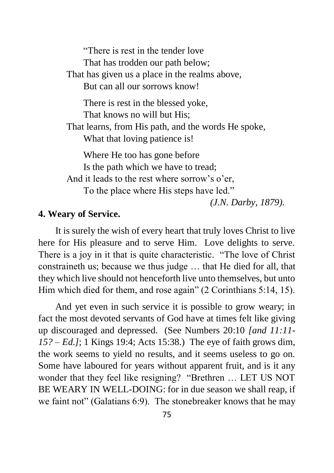"There is rest in the tender love That has trodden our path below; That has given us a place in the realms above, But can all our sorrows know! There is rest in the blessed yoke, That knows no will but His; That learns, from His path, and the words He spoke, What that loving patience is! Where He too has gone before Is the path which we have to tread; And it leads to the rest where sorrow's o'er, To the place where His steps have led."

*(J.N. Darby, 1879).*

## **4. Weary of Service.**

It is surely the wish of every heart that truly loves Christ to live here for His pleasure and to serve Him. Love delights to serve. There is a joy in it that is quite characteristic. "The love of Christ constraineth us; because we thus judge … that He died for all, that they which live should not henceforth live unto themselves, but unto Him which died for them, and rose again" (2 Corinthians 5:14, 15).

And yet even in such service it is possible to grow weary; in fact the most devoted servants of God have at times felt like giving up discouraged and depressed. (See Numbers 20:10 *[and 11:11- 15? – Ed.]*; 1 Kings 19:4; Acts 15:38.) The eye of faith grows dim, the work seems to yield no results, and it seems useless to go on. Some have laboured for years without apparent fruit, and is it any wonder that they feel like resigning? "Brethren … LET US NOT BE WEARY IN WELL-DOING: for in due season we shall reap, if we faint not" (Galatians 6:9). The stonebreaker knows that he may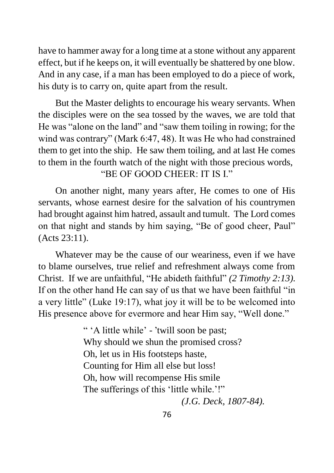have to hammer away for a long time at a stone without any apparent effect, but if he keeps on, it will eventually be shattered by one blow. And in any case, if a man has been employed to do a piece of work, his duty is to carry on, quite apart from the result.

But the Master delights to encourage his weary servants. When the disciples were on the sea tossed by the waves, we are told that He was "alone on the land" and "saw them toiling in rowing; for the wind was contrary" (Mark 6:47, 48). It was He who had constrained them to get into the ship. He saw them toiling, and at last He comes to them in the fourth watch of the night with those precious words, "BE OF GOOD CHEER: IT IS I."

On another night, many years after, He comes to one of His servants, whose earnest desire for the salvation of his countrymen had brought against him hatred, assault and tumult. The Lord comes on that night and stands by him saying, "Be of good cheer, Paul" (Acts 23:11).

Whatever may be the cause of our weariness, even if we have to blame ourselves, true relief and refreshment always come from Christ. If we are unfaithful, "He abideth faithful" *(2 Timothy 2:13).* If on the other hand He can say of us that we have been faithful "in a very little" (Luke 19:17), what joy it will be to be welcomed into His presence above for evermore and hear Him say, "Well done."

> " 'A little while' - ՚twill soon be past; Why should we shun the promised cross? Oh, let us in His footsteps haste, Counting for Him all else but loss! Oh, how will recompense His smile The sufferings of this 'little while.'!" *(J.G. Deck, 1807-84).*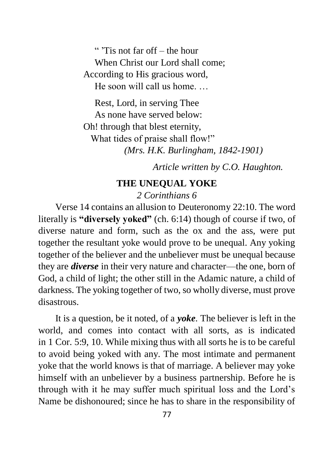" ՚Tis not far off – the hour When Christ our Lord shall come; According to His gracious word, He soon will call us home.

Rest, Lord, in serving Thee As none have served below: Oh! through that blest eternity, What tides of praise shall flow!" *(Mrs. H.K. Burlingham, 1842-1901)*

*Article written by C.O. Haughton.*

### **THE UNEQUAL YOKE**

*2 Corinthians 6*

Verse 14 contains an allusion to [Deuteronomy](https://bibletruthpublishers.com/lbc175KJV#v10) 22:10. The word literally is **"diversely yoked"** (ch. 6:14) though of course if two, of diverse nature and form, such as the ox and the ass, were put together the resultant yoke would prove to be unequal. Any yoking together of the believer and the unbeliever must be unequal because they are *diverse* in their very nature and character—the one, born of God, a child of light; the other still in the Adamic nature, a child of darkness. The yoking together of two, so wholly diverse, must prove disastrous.

It is a question, be it noted, of a *yoke.* The believer is left in the world, and comes into contact with all sorts, as is indicated in 1 [Cor.](https://bibletruthpublishers.com/lbc1067KJV#v9) 5:9, 10. While mixing thus with all sorts he is to be careful to avoid being yoked with any. The most intimate and permanent yoke that the world knows is that of marriage. A believer may yoke himself with an unbeliever by a business partnership. Before he is through with it he may suffer much spiritual loss and the Lord's Name be dishonoured; since he has to share in the responsibility of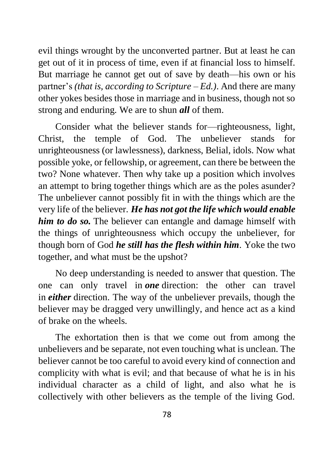evil things wrought by the unconverted partner. But at least he can get out of it in process of time, even if at financial loss to himself. But marriage he cannot get out of save by death—his own or his partner's *(that is, according to Scripture – Ed.)*. And there are many other yokes besides those in marriage and in business, though not so strong and enduring. We are to shun *all* of them.

Consider what the believer stands for—righteousness, light, Christ, the temple of God. The unbeliever stands for unrighteousness (or lawlessness), darkness, Belial, idols. Now what possible yoke, or fellowship, or agreement, can there be between the two? None whatever. Then why take up a position which involves an attempt to bring together things which are as the poles asunder? The unbeliever cannot possibly fit in with the things which are the very life of the believer. *He has not got the life which would enable him to do so.* The believer can entangle and damage himself with the things of unrighteousness which occupy the unbeliever, for though born of God *he still has the flesh within him.* Yoke the two together, and what must be the upshot?

No deep understanding is needed to answer that question. The one can only travel in *one* direction: the other can travel in *either* direction. The way of the unbeliever prevails, though the believer may be dragged very unwillingly, and hence act as a kind of brake on the wheels.

The exhortation then is that we come out from among the unbelievers and be separate, not even touching what is unclean. The believer cannot be too careful to avoid every kind of connection and complicity with what is evil; and that because of what he is in his individual character as a child of light, and also what he is collectively with other believers as the temple of the living God.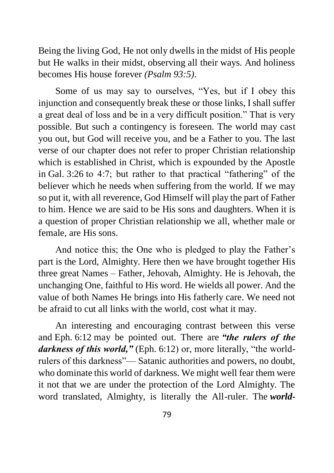Being the living God, He not only dwells in the midst of His people but He walks in their midst, observing all their ways. And holiness becomes His house forever *(Psalm 93:5)*.

Some of us may say to ourselves, "Yes, but if I obey this injunction and consequently break these or those links, I shall suffer a great deal of loss and be in a very difficult position." That is very possible. But such a contingency is foreseen. The world may cast you out, but God will receive you, and be a Father to you. The last verse of our chapter does not refer to proper Christian relationship which is established in Christ, which is expounded by the Apostle in Gal. [3:26](https://bibletruthpublishers.com/lbc1094KJV#v26) to 4:7; but rather to that practical "fathering" of the believer which he needs when suffering from the world. If we may so put it, with all reverence, God Himself will play the part of Father to him. Hence we are said to be His sons and daughters. When it is a question of proper Christian relationship we all, whether male or female, are His sons.

And notice this; the One who is pledged to play the Father's part is the Lord, Almighty. Here then we have brought together His three great Names – Father, Jehovah, Almighty. He is Jehovah, the unchanging One, faithful to His word. He wields all power. And the value of both Names He brings into His fatherly care. We need not be afraid to cut all links with the world, cost what it may.

An interesting and encouraging contrast between this verse and [Eph.](https://bibletruthpublishers.com/lbc1103KJV#v12) 6:12 may be pointed out. There are *"the rulers of the*  darkness of this world," [\(Eph.](https://bibletruthpublishers.com/lbc1103KJV#v12) 6:12) or, more literally, "the worldrulers of this darkness"— Satanic authorities and powers, no doubt, who dominate this world of darkness. We might well fear them were it not that we are under the protection of the Lord Almighty. The word translated, Almighty, is literally the All-ruler. The *world-*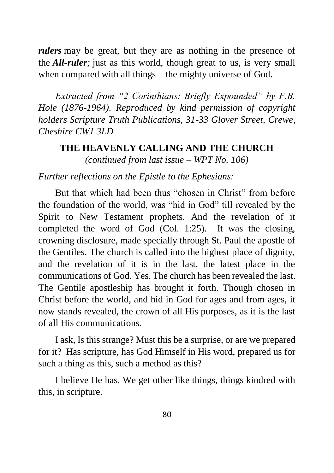*rulers* may be great, but they are as nothing in the presence of the *All-ruler;* just as this world, though great to us, is very small when compared with all things—the mighty universe of God.

*Extracted from "2 Corinthians: Briefly Expounded" by F.B. Hole (1876-1964). Reproduced by kind permission of copyright holders Scripture Truth Publications, 31-33 Glover Street, Crewe, Cheshire CW1 3LD*

# **THE HEAVENLY CALLING AND THE CHURCH** *(continued from last issue – WPT No. 106)*

# *Further reflections on the Epistle to the Ephesians:*

But that which had been thus "chosen in Christ" from before the foundation of the world, was "hid in God" till revealed by the Spirit to New Testament prophets. And the revelation of it completed the word of God (Col. 1:25). It was the closing, crowning disclosure, made specially through St. Paul the apostle of the Gentiles. The church is called into the highest place of dignity, and the revelation of it is in the last, the latest place in the communications of God. Yes. The church has been revealed the last. The Gentile apostleship has brought it forth. Though chosen in Christ before the world, and hid in God for ages and from ages, it now stands revealed, the crown of all His purposes, as it is the last of all His communications.

I ask, Is this strange? Must this be a surprise, or are we prepared for it? Has scripture, has God Himself in His word, prepared us for such a thing as this, such a method as this?

I believe He has. We get other like things, things kindred with this, in scripture.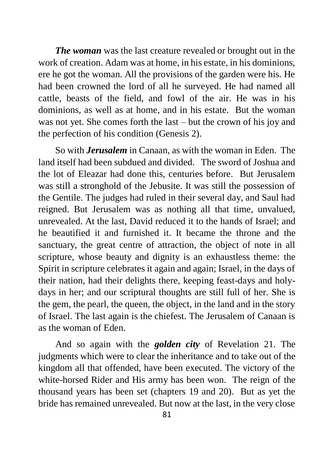*The woman* was the last creature revealed or brought out in the work of creation. Adam was at home, in his estate, in his dominions, ere he got the woman. All the provisions of the garden were his. He had been crowned the lord of all he surveyed. He had named all cattle, beasts of the field, and fowl of the air. He was in his dominions, as well as at home, and in his estate. But the woman was not yet. She comes forth the last – but the crown of his joy and the perfection of his condition (Genesis 2).

So with *Jerusalem* in Canaan, as with the woman in Eden. The land itself had been subdued and divided. The sword of Joshua and the lot of Eleazar had done this, centuries before. But Jerusalem was still a stronghold of the Jebusite. It was still the possession of the Gentile. The judges had ruled in their several day, and Saul had reigned. But Jerusalem was as nothing all that time, unvalued, unrevealed. At the last, David reduced it to the hands of Israel; and he beautified it and furnished it. It became the throne and the sanctuary, the great centre of attraction, the object of note in all scripture, whose beauty and dignity is an exhaustless theme: the Spirit in scripture celebrates it again and again; Israel, in the days of their nation, had their delights there, keeping feast-days and holydays in her; and our scriptural thoughts are still full of her. She is the gem, the pearl, the queen, the object, in the land and in the story of Israel. The last again is the chiefest. The Jerusalem of Canaan is as the woman of Eden.

And so again with the *golden city* of Revelation 21. The judgments which were to clear the inheritance and to take out of the kingdom all that offended, have been executed. The victory of the white-horsed Rider and His army has been won. The reign of the thousand years has been set (chapters 19 and 20). But as yet the bride has remained unrevealed. But now at the last, in the very close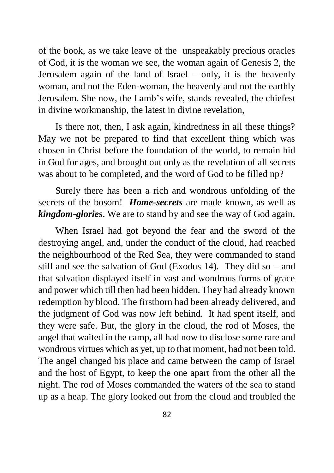of the book, as we take leave of the unspeakably precious oracles of God, it is the woman we see, the woman again of Genesis 2, the Jerusalem again of the land of Israel – only, it is the heavenly woman, and not the Eden-woman, the heavenly and not the earthly Jerusalem. She now, the Lamb's wife, stands revealed, the chiefest in divine workmanship, the latest in divine revelation,

Is there not, then, I ask again, kindredness in all these things? May we not be prepared to find that excellent thing which was chosen in Christ before the foundation of the world, to remain hid in God for ages, and brought out only as the revelation of all secrets was about to be completed, and the word of God to be filled np?

Surely there has been a rich and wondrous unfolding of the secrets of the bosom! *Home-secrets* are made known, as well as *kingdom-glories*. We are to stand by and see the way of God again.

When Israel had got beyond the fear and the sword of the destroying angel, and, under the conduct of the cloud, had reached the neighbourhood of the Red Sea, they were commanded to stand still and see the salvation of God (Exodus 14). They did so – and that salvation displayed itself in vast and wondrous forms of grace and power which till then had been hidden. They had already known redemption by blood. The firstborn had been already delivered, and the judgment of God was now left behind. It had spent itself, and they were safe. But, the glory in the cloud, the rod of Moses, the angel that waited in the camp, all had now to disclose some rare and wondrous virtues which as yet, up to that moment, had not been told. The angel changed bis place and came between the camp of Israel and the host of Egypt, to keep the one apart from the other all the night. The rod of Moses commanded the waters of the sea to stand up as a heap. The glory looked out from the cloud and troubled the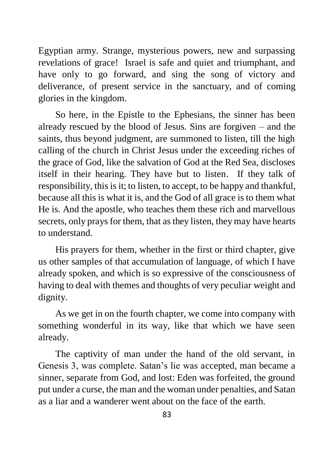Egyptian army. Strange, mysterious powers, new and surpassing revelations of grace! Israel is safe and quiet and triumphant, and have only to go forward, and sing the song of victory and deliverance, of present service in the sanctuary, and of coming glories in the kingdom.

So here, in the Epistle to the Ephesians, the sinner has been already rescued by the blood of Jesus. Sins are forgiven – and the saints, thus beyond judgment, are summoned to listen, till the high calling of the church in Christ Jesus under the exceeding riches of the grace of God, like the salvation of God at the Red Sea, discloses itself in their hearing. They have but to listen. If they talk of responsibility, this is it; to listen, to accept, to be happy and thankful, because all this is what it is, and the God of all grace is to them what He is. And the apostle, who teaches them these rich and marvellous secrets, only prays for them, that as they listen, they may have hearts to understand.

His prayers for them, whether in the first or third chapter, give us other samples of that accumulation of language, of which I have already spoken, and which is so expressive of the consciousness of having to deal with themes and thoughts of very peculiar weight and dignity.

As we get in on the fourth chapter, we come into company with something wonderful in its way, like that which we have seen already.

The captivity of man under the hand of the old servant, in Genesis 3, was complete. Satan's lie was accepted, man became a sinner, separate from God, and lost: Eden was forfeited, the ground put under a curse, the man and the woman under penalties, and Satan as a liar and a wanderer went about on the face of the earth.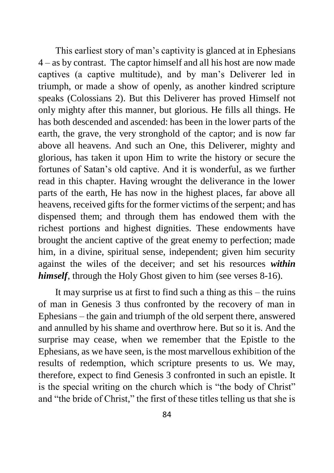This earliest story of man's captivity is glanced at in Ephesians 4 – as by contrast. The captor himself and all his host are now made captives (a captive multitude), and by man's Deliverer led in triumph, or made a show of openly, as another kindred scripture speaks (Colossians 2). But this Deliverer has proved Himself not only mighty after this manner, but glorious. He fills all things. He has both descended and ascended: has been in the lower parts of the earth, the grave, the very stronghold of the captor; and is now far above all heavens. And such an One, this Deliverer, mighty and glorious, has taken it upon Him to write the history or secure the fortunes of Satan's old captive. And it is wonderful, as we further read in this chapter. Having wrought the deliverance in the lower parts of the earth, He has now in the highest places, far above all heavens, received gifts for the former victims of the serpent; and has dispensed them; and through them has endowed them with the richest portions and highest dignities. These endowments have brought the ancient captive of the great enemy to perfection; made him, in a divine, spiritual sense, independent; given him security against the wiles of the deceiver; and set his resources *within himself*, through the Holy Ghost given to him (see verses 8-16).

It may surprise us at first to find such a thing as this – the ruins of man in Genesis 3 thus confronted by the recovery of man in Ephesians – the gain and triumph of the old serpent there, answered and annulled by his shame and overthrow here. But so it is. And the surprise may cease, when we remember that the Epistle to the Ephesians, as we have seen, is the most marvellous exhibition of the results of redemption, which scripture presents to us. We may, therefore, expect to find Genesis 3 confronted in such an epistle. It is the special writing on the church which is "the body of Christ" and "the bride of Christ," the first of these titles telling us that she is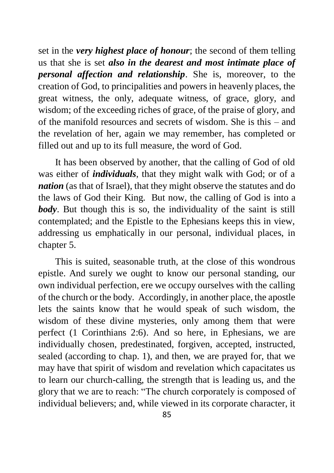set in the *very highest place of honour*; the second of them telling us that she is set *also in the dearest and most intimate place of personal affection and relationship*. She is, moreover, to the creation of God, to principalities and powers in heavenly places, the great witness, the only, adequate witness, of grace, glory, and wisdom; of the exceeding riches of grace, of the praise of glory, and of the manifold resources and secrets of wisdom. She is this – and the revelation of her, again we may remember, has completed or filled out and up to its full measure, the word of God.

It has been observed by another, that the calling of God of old was either of *individuals*, that they might walk with God; or of a *nation* (as that of Israel), that they might observe the statutes and do the laws of God their King. But now, the calling of God is into a *body*. But though this is so, the individuality of the saint is still contemplated; and the Epistle to the Ephesians keeps this in view, addressing us emphatically in our personal, individual places, in chapter 5.

This is suited, seasonable truth, at the close of this wondrous epistle. And surely we ought to know our personal standing, our own individual perfection, ere we occupy ourselves with the calling of the church or the body. Accordingly, in another place, the apostle lets the saints know that he would speak of such wisdom, the wisdom of these divine mysteries, only among them that were perfect (1 Corinthians 2:6). And so here, in Ephesians, we are individually chosen, predestinated, forgiven, accepted, instructed, sealed (according to chap. 1), and then, we are prayed for, that we may have that spirit of wisdom and revelation which capacitates us to learn our church-calling, the strength that is leading us, and the glory that we are to reach: "The church corporately is composed of individual believers; and, while viewed in its corporate character, it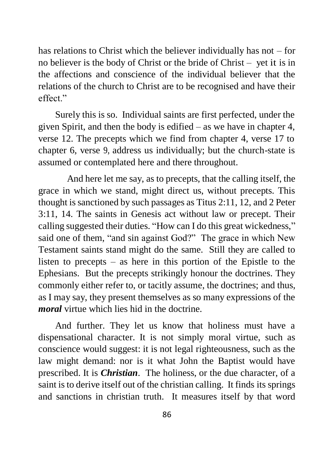has relations to Christ which the believer individually has not – for no believer is the body of Christ or the bride of Christ – yet it is in the affections and conscience of the individual believer that the relations of the church to Christ are to be recognised and have their effect."

Surely this is so. Individual saints are first perfected, under the given Spirit, and then the body is edified – as we have in chapter 4, verse 12. The precepts which we find from chapter 4, verse 17 to chapter 6, verse 9, address us individually; but the church-state is assumed or contemplated here and there throughout.

And here let me say, as to precepts, that the calling itself, the grace in which we stand, might direct us, without precepts. This thought is sanctioned by such passages as Titus 2:11, 12, and 2 Peter 3:11, 14. The saints in Genesis act without law or precept. Their calling suggested their duties. "How can I do this great wickedness," said one of them, "and sin against God?" The grace in which New Testament saints stand might do the same. Still they are called to listen to precepts – as here in this portion of the Epistle to the Ephesians. But the precepts strikingly honour the doctrines. They commonly either refer to, or tacitly assume, the doctrines; and thus, as I may say, they present themselves as so many expressions of the *moral* virtue which lies hid in the doctrine.

And further. They let us know that holiness must have a dispensational character. It is not simply moral virtue, such as conscience would suggest: it is not legal righteousness, such as the law might demand: nor is it what John the Baptist would have prescribed. It is *Christian*. The holiness, or the due character, of a saint is to derive itself out of the christian calling. It finds its springs and sanctions in christian truth. It measures itself by that word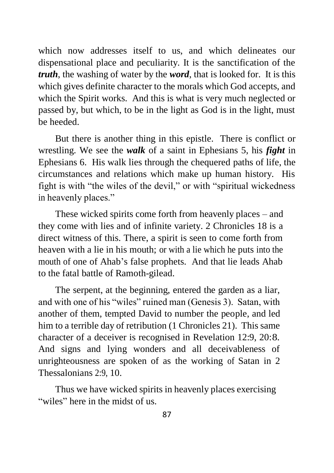which now addresses itself to us, and which delineates our dispensational place and peculiarity. It is the sanctification of the *truth*, the washing of water by the *word*, that is looked for. It is this which gives definite character to the morals which God accepts, and which the Spirit works. And this is what is very much neglected or passed by, but which, to be in the light as God is in the light, must be heeded.

But there is another thing in this epistle. There is conflict or wrestling. We see the *walk* of a saint in Ephesians 5, his *fight* in Ephesians 6. His walk lies through the chequered paths of life, the circumstances and relations which make up human history. His fight is with "the wiles of the devil," or with "spiritual wickedness in heavenly places."

These wicked spirits come forth from heavenly places – and they come with lies and of infinite variety. 2 Chronicles 18 is a direct witness of this. There, a spirit is seen to come forth from heaven with a lie in his mouth; or with a lie which he puts into the mouth of one of Ahab's false prophets. And that lie leads Ahab to the fatal battle of Ramoth-gilead.

The serpent, at the beginning, entered the garden as a liar, and with one of his "wiles" ruined man (Genesis 3). Satan, with another of them, tempted David to number the people, and led him to a terrible day of retribution (1 Chronicles 21). This same character of a deceiver is recognised in Revelation 12:9, 20:8*.*  And signs and lying wonders and all deceivableness of unrighteousness are spoken of as the working of Satan in 2 Thessalonians 2:9, 10.

Thus we have wicked spirits in heavenly places exercising "wiles" here in the midst of us.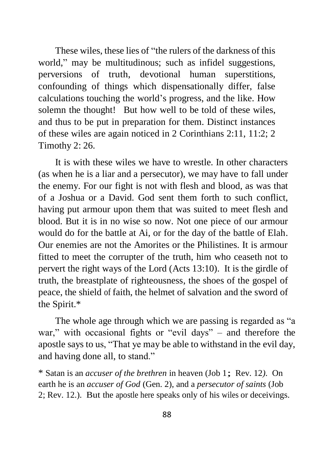These wiles, these lies of "the rulers of the darkness of this world," may be multitudinous; such as infidel suggestions, perversions of truth, devotional human superstitions, confounding of things which dispensationally differ, false calculations touching the world's progress, and the like. How solemn the thought! But how well to be told of these wiles, and thus to be put in preparation for them. Distinct instances of these wiles are again noticed in 2 Corinthians 2:11, 11:2; 2 Timothy 2: 26.

It is with these wiles we have to wrestle*.* In other characters (as when he is a liar and a persecutor), we may have to fall under the enemy. For our fight is not with flesh and blood*,* as was that of a Joshua or a David. God sent them forth to such conflict, having put armour upon them that was suited to meet flesh and blood. But it is in no wise so now. Not one piece of our armour would do for the battle at Ai, or for the day of the battle of Elah. Our enemies are not the Amorites or the Philistines. It is armour fitted to meet the corrupter of the truth, him who ceaseth not to pervert the right ways of the Lord (Acts 13:10). It is the girdle of truth, the breastplate of righteousness, the shoes of the gospel of peace, the shield of faith, the helmet of salvation and the sword of the Spirit.\*

The whole age through which we are passing is regarded as "a war," with occasional fights or "evil days" – and therefore the apostle says to us, "That ye may be able to withstand in the evil day, and having done all, to stand."

\* Satan is an *accuser of the brethren* in heaven (Job 1; Rev. 12*).* On earth he is an *accuser of God* (Gen. 2), and a *persecutor of saints* (Job 2; Rev. 12.). But the apostle here speaks only of his wiles or deceivings.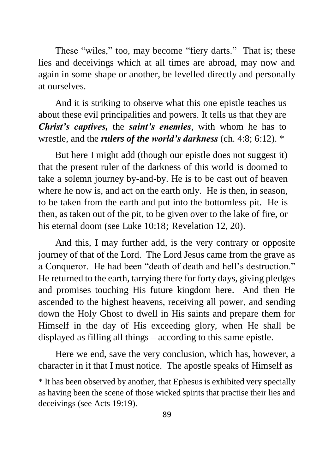These "wiles," too, may become "fiery darts." That is; these lies and deceivings which at all times are abroad, may now and again in some shape or another, be levelled directly and personally at ourselves.

And it is striking to observe what this one epistle teaches us about these evil principalities and powers. It tells us that they are *Christ's captives,* the *saint's enemies,* with whom he has to wrestle, and the *rulers of the world's darkness* (ch. 4:8; 6:12). \*

But here I might add (though our epistle does not suggest it) that the present ruler of the darkness of this world is doomed to take a solemn journey by-and-by. He is to be cast out of heaven where he now is, and act on the earth only. He is then, in season, to be taken from the earth and put into the bottomless pit. He is then, as taken out of the pit, to be given over to the lake of fire, or his eternal doom (see Luke 10:18; Revelation 12, 20).

And this, I may further add, is the very contrary or opposite journey of that of the Lord. The Lord Jesus came from the grave as a Conqueror. He had been "death of death and hell's destruction." He returned to the earth, tarrying there for forty days, giving pledges and promises touching His future kingdom here. And then He ascended to the highest heavens, receiving all power, and sending down the Holy Ghost to dwell in His saints and prepare them for Himself in the day of His exceeding glory, when He shall be displayed as filling all things – according to this same epistle.

Here we end, save the very conclusion, which has, however, a character in it that I must notice. The apostle speaks of Himself as

<sup>\*</sup> It has been observed by another, that Ephesus is exhibited very specially as having been the scene of those wicked spirits that practise their lies and deceivings (see Acts 19:19).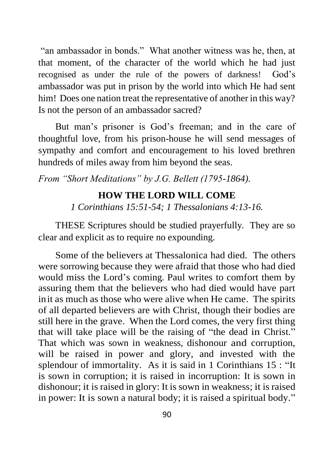"an ambassador in bonds." What another witness was he, then, at that moment, of the character of the world which he had just recognised as under the rule of the powers of darkness! God's ambassador was put in prison by the world into which He had sent him! Does one nation treat the representative of another in this way? Is not the person of an ambassador sacred?

But man's prisoner is God's freeman; and in the care of thoughtful love, from his prison-house he will send messages of sympathy and comfort and encouragement to his loved brethren hundreds of miles away from him beyond the seas.

*From "Short Meditations" by J.G. Bellett (1795-1864).*

## **HOW THE LORD WILL COME**

*1 Corinthians 15:51-54; 1 Thessalonians 4:13-16.*

THESE Scriptures should be studied prayerfully. They are so clear and explicit as to require no expounding.

Some of the believers at Thessalonica had died. The others were sorrowing because they were afraid that those who had died would miss the Lord's coming. Paul writes to comfort them by assuring them that the believers who had died would have part init as much as those who were alive when He came. The spirits of all departed believers are with Christ, though their bodies are still here in the grave. When the Lord comes, the very first thing that will take place will be the raising of "the dead in Christ." That which was sown in weakness, dishonour and corruption, will be raised in power and glory, and invested with the splendour of immortality. As it is said in 1 Corinthians 15 : "It is sown in corruption; it is raised in incorruption: It is sown in dishonour; it is raised in glory: It is sown in weakness; it is raised in power: It is sown a natural body; it is raised a spiritual body."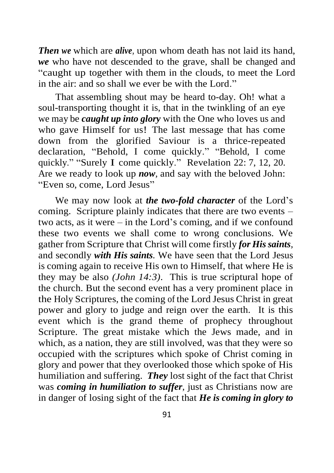*Then we* which are *alive*, upon whom death has not laid its hand, *we* who have not descended to the grave, shall be changed and "caught up together with them in the clouds, to meet the Lord in the air: and so shall we ever be with the Lord."

That assembling shout may be heard to-day. Oh! what a soul-transporting thought it is, that in the twinkling of an eye we may be *caught up into glory* with the One who loves us and who gave Himself for us! The last message that has come down from the glorified Saviour is a thrice-repeated declaration, "Behold, I come quickly." "Behold, I come quickly." "Surely I come quickly." Revelation 22: 7, 12, 20. Are we ready to look up *now,* and say with the beloved John: "Even so, come, Lord Jesus"

We may now look at *the two-fold character* of the Lord's coming. Scripture plainly indicates that there are two events – two acts, as it were – in the Lord's coming, and if we confound these two events we shall come to wrong conclusions. We gather from Scripture that Christ will come firstly *for His saints,*  and secondly *with His saints.* We have seen that the Lord Jesus is coming again to receive His own to Himself, that where He is they may be also *(John 14:3)*. This is true scriptural hope of the church. But the second event has a very prominent place in the Holy Scriptures, the coming of the Lord Jesus Christ in great power and glory to judge and reign over the earth. It is this event which is the grand theme of prophecy throughout Scripture. The great mistake which the Jews made, and in which, as a nation, they are still involved, was that they were so occupied with the scriptures which spoke of Christ coming in glory and power that they overlooked those which spoke of His humiliation and suffering. *They* lost sight of the fact that Christ was *coming in humiliation to suffer,* just as Christians now are in danger of losing sight of the fact that *He is coming in glory to*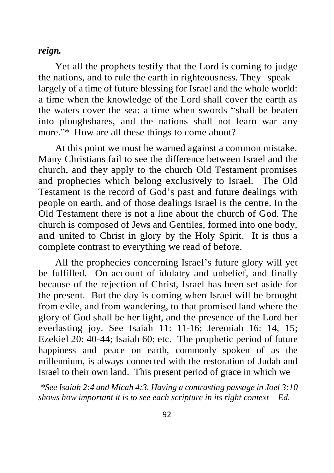### *reign.*

Yet all the prophets testify that the Lord is coming to judge the nations, and to rule the earth in righteousness. They speak largely of a time of future blessing for Israel and the whole world: a time when the knowledge of the Lord shall cover the earth as the waters cover the sea: a time when swords "shall be beaten into ploughshares, and the nations shall not learn war any more."\* How are all these things to come about?

At this point we must be warned against a common mistake. Many Christians fail to see the difference between Israel and the church, and they apply to the church Old Testament promises and prophecies which belong exclusively to Israel. The Old Testament is the record of God's past and future dealings with people on earth, and of those dealings Israel is the centre. In the Old Testament there is not a line about the church of God. The church is composed of Jews and Gentiles, formed into one body, and united to Christ in glory by the Holy Spirit. It is thus a complete contrast to everything we read of before.

All the prophecies concerning Israel's future glory will yet be fulfilled. On account of idolatry and unbelief, and finally because of the rejection of Christ, Israel has been set aside for the present. But the day is coming when Israel will be brought from exile, and from wandering, to that promised land where the glory of God shall be her light, and the presence of the Lord her everlasting joy. See Isaiah 11: 11-16; Jeremiah 16: 14, 15; Ezekiel 20: 40-44; Isaiah 60; etc. The prophetic period of future happiness and peace on earth, commonly spoken of as the millennium, is always connected with the restoration of Judah and Israel to their own land. This present period of grace in which we

*\*See Isaiah 2:4 and Micah 4:3. Having a contrasting passage in Joel 3:10 shows how important it is to see each scripture in its right context – Ed.*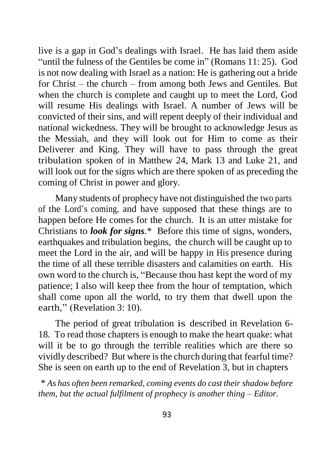live is a gap in God's dealings with Israel. He has laid them aside "until the fulness of the Gentiles be come in" (Romans 11: 25). God is not now dealing with Israel as a nation: He is gathering out a bride for Christ – the church – from among both Jews and Gentiles. But when the church is complete and caught up to meet the Lord, God will resume His dealings with Israel. A number of Jews will be convicted of their sins, and will repent deeply of their individual and national wickedness. They will be brought to acknowledge Jesus as the Messiah, and they will look out for Him to come as their Deliverer and King. They will have to pass through the great tribulation spoken of in Matthew 24, Mark 13 and Luke 21, and will look out for the signs which are there spoken of as preceding the coming of Christ in power and glory.

Many students of prophecy have not distinguished the two parts of the Lord's coming, and have supposed that these things are to happen before He comes for the church. It is an utter mistake for Christians to *look for signs.*\* Before this time of signs, wonders, earthquakes and tribulation begins, the church will be caught up to meet the Lord in the air, and will be happy in His presence during the time of all these terrible disasters and calamities on earth. His own word to the church is, "Because thou hast kept the word of my patience; I also will keep thee from the hour of temptation, which shall come upon all the world, to try them that dwell upon the earth," (Revelation 3: 10).

The period of great tribulation is described in Revelation 6- 18. To read those chapters is enough to make the heart quake: what will it be to go through the terrible realities which are there so vividly described? But where is the church during that fearful time? She is seen on earth up to the end of Revelation 3, but in chapters

\* *As has often been remarked, coming events do cast their shadow before them, but the actual fulfilment of prophecy is another thing – Editor.*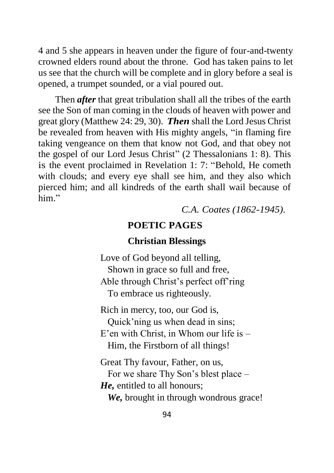4 and 5 she appears in heaven under the figure of four-and-twenty crowned elders round about the throne. God has taken pains to let us see that the church will be complete and in glory before a seal is opened, a trumpet sounded, or a vial poured out.

Then *after* that great tribulation shall all the tribes of the earth see the Son of man coming in the clouds of heaven with power and great glory (Matthew 24: 29, 30). *Then* shall the Lord Jesus Christ be revealed from heaven with His mighty angels, "in flaming fire taking vengeance on them that know not God, and that obey not the gospel of our Lord Jesus Christ" (2 Thessalonians 1: 8). This is the event proclaimed in Revelation 1: 7: "Behold, He cometh with clouds; and every eye shall see him, and they also which pierced him; and all kindreds of the earth shall wail because of him"

*C.A. Coates (1862-1945).*

### **POETIC PAGES**

## **Christian Blessings**

Love of God beyond all telling, Shown in grace so full and free, Able through Christ's perfect off'ring To embrace us righteously.

Rich in mercy, too, our God is, Quick'ning us when dead in sins; E'en with Christ, in Whom our life is – Him, the Firstborn of all things!

Great Thy favour, Father, on us, For we share Thy Son's blest place – *He,* entitled to all honours;  *We,* brought in through wondrous grace!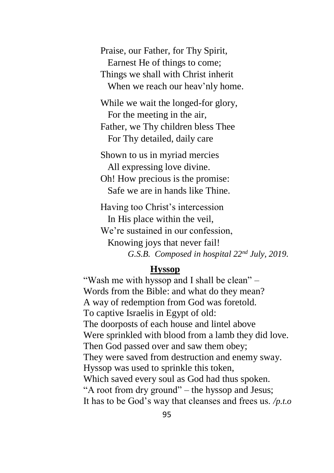Praise, our Father, for Thy Spirit, Earnest He of things to come; Things we shall with Christ inherit When we reach our heav'nly home.

While we wait the longed-for glory, For the meeting in the air, Father, we Thy children bless Thee For Thy detailed, daily care

Shown to us in myriad mercies All expressing love divine. Oh! How precious is the promise:

Safe we are in hands like Thine.

Having too Christ's intercession In His place within the veil, We're sustained in our confession, Knowing joys that never fail! *G.S.B. Composed in hospital 22nd July, 2019.*

## **Hyssop**

"Wash me with hyssop and I shall be clean" – Words from the Bible: and what do they mean? A way of redemption from God was foretold. To captive Israelis in Egypt of old: The doorposts of each house and lintel above Were sprinkled with blood from a lamb they did love. Then God passed over and saw them obey; They were saved from destruction and enemy sway. Hyssop was used to sprinkle this token, Which saved every soul as God had thus spoken. "A root from dry ground" – the hyssop and Jesus; It has to be God's way that cleanses and frees us. */p.t.o*